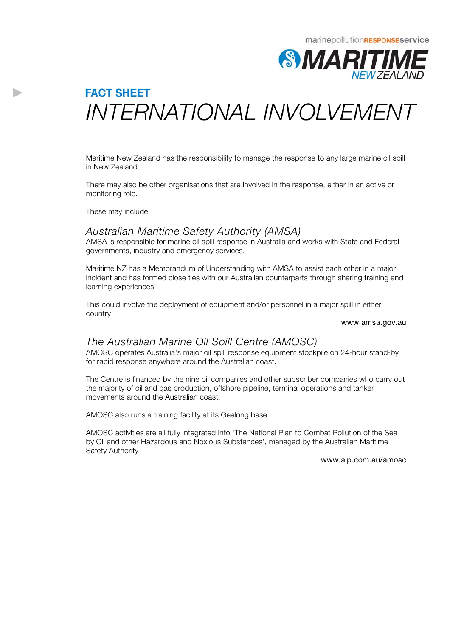# **FACT SHEET** INTERNATIONAL INVOLVEMENT

Maritime New Zealand has the responsibility to manage the response to any large marine oil spill in New Zealand.

There may also be other organisations that are involved in the response, either in an active or monitoring role.

These may include:

D

# *Australian Maritime Safety Authority (AMSA)*

AMSA is responsible for marine oil spill response in Australia and works with State and Federal governments, industry and emergency services.

Maritime NZ has a Memorandum of Understanding with AMSA to assist each other in a major incident and has formed close ties with our Australian counterparts through sharing training and learning experiences.

This could involve the deployment of equipment and/or personnel in a major spill in either country.

#### www.amsa.gov.au

# *The Australian Marine Oil Spill Centre (AMOSC)*

AMOSC operates Australia's major oil spill response equipment stockpile on 24-hour stand-by for rapid response anywhere around the Australian coast.

The Centre is financed by the nine oil companies and other subscriber companies who carry out the majority of oil and gas production, offshore pipeline, terminal operations and tanker movements around the Australian coast.

AMOSC also runs a training facility at its Geelong base.

AMOSC activities are all fully integrated into 'The National Plan to Combat Pollution of the Sea by Oil and other Hazardous and Noxious Substances', managed by the Australian Maritime Safety Authority

### www.aip.com.au/amosc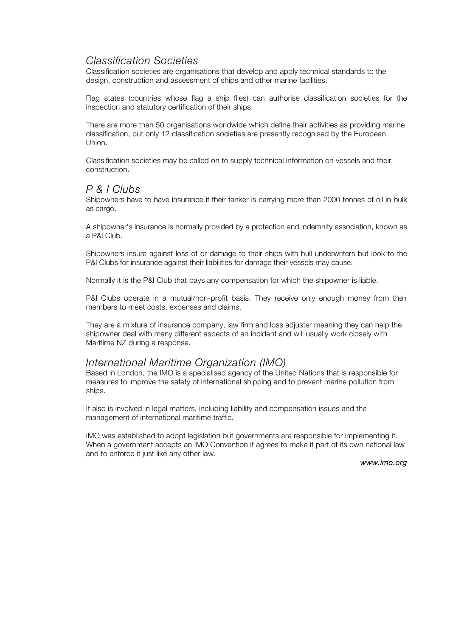# *Classification Societies*

Classification societies are organisations that develop and apply technical standards to the design, construction and assessment of ships and other marine facilities.

Flag states (countries whose flag a ship flies) can authorise classification societies for the inspection and statutory certification of their ships.

There are more than 50 organisations worldwide which define their activities as providing marine classification, but only 12 classification societies are presently recognised by the European Union.

Classification societies may be called on to supply technical information on vessels and their construction.

# *P & I Clubs*

Shipowners have to have insurance if their tanker is carrying more than 2000 tonnes of oil in bulk as cargo.

A shipowner's insurance is normally provided by a protection and indemnity association, known as a P&I Club.

Shipowners insure against loss of or damage to their ships with hull underwriters but look to the P&I Clubs for insurance against their liabilities for damage their vessels may cause.

Normally it is the P&I Club that pays any compensation for which the shipowner is liable.

P&I Clubs operate in a mutual/non-profit basis. They receive only enough money from their members to meet costs, expenses and claims.

They are a mixture of insurance company, law firm and loss adjuster meaning they can help the shipowner deal with many different aspects of an incident and will usually work closely with Maritime NZ during a response.

# *International Maritime Organization (IMO)*

Based in London, the IMO is a specialised agency of the United Nations that is responsible for measures to improve the safety of international shipping and to prevent marine pollution from ships.

It also is involved in legal matters, including liability and compensation issues and the management of international maritime traffic.

IMO was established to adopt legislation but governments are responsible for implementing it. When a government accepts an IMO Convention it agrees to make it part of its own national law and to enforce it just like any other law.

*www.imo.org*